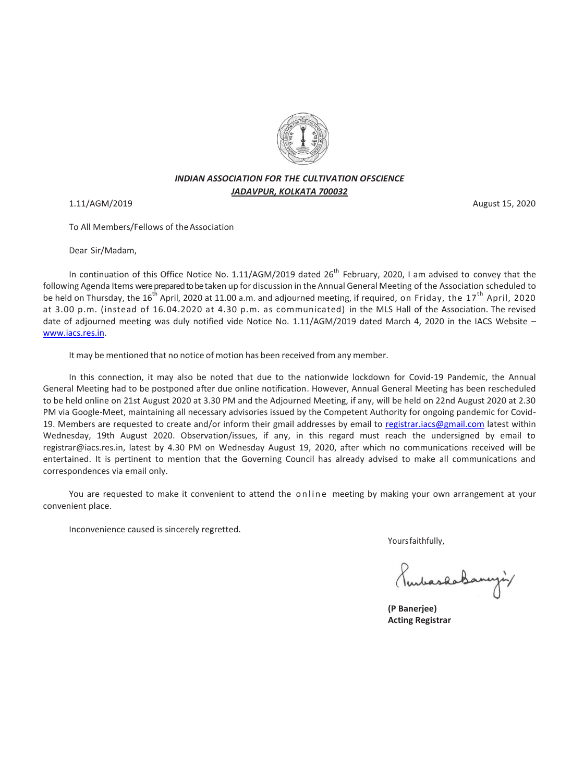

# *INDIAN ASSOCIATION FOR THE CULTIVATION OFSCIENCE JADAVPUR, KOLKATA 700032*

1.11/AGM/2019 August 15, 2020

To All Members/Fellows of theAssociation

Dear Sir/Madam,

In continuation of this Office Notice No. 1.11/AGM/2019 dated  $26^{th}$  February, 2020, I am advised to convey that the following Agenda Items were prepared to betaken up for discussion in the Annual General Meeting of the Association scheduled to be held on Thursday, the 16<sup>th</sup> April, 2020 at 11.00 a.m. and adjourned meeting, if required, on Friday, the 17<sup>th</sup> April, 2020 at 3.00 p.m. (instead of 16.04.2020 at 4.30 p.m. as communicated) in the MLS Hall of the Association. The revised date of adjourned meeting was duly notified vide Notice No. 1.11/AGM/2019 dated March 4, 2020 in the IACS Website [www.iacs.res.in.](http://www.iacs.res.in/)

It may be mentioned that no notice of motion has been received from any member.

In this connection, it may also be noted that due to the nationwide lockdown for Covid-19 Pandemic, the Annual General Meeting had to be postponed after due online notification. However, Annual General Meeting has been rescheduled to be held online on 21st August 2020 at 3.30 PM and the Adjourned Meeting, if any, will be held on 22nd August 2020 at 2.30 PM via Google-Meet, maintaining all necessary advisories issued by the Competent Authority for ongoing pandemic for Covid19. Members are requested to create and/or inform their gmail addresses by email to [registrar.iacs@gmail.com](mailto:registrar.iacs@gmail.com) latest within Wednesday, 19th August 2020. Observation/issues, if any, in this regard must reach the undersigned by email to registrar@iacs.res.in, latest by 4.30 PM on Wednesday August 19, 2020, after which no communications received will be entertained. It is pertinent to mention that the Governing Council has already advised to make all communications and correspondences via email only.

You are requested to make it convenient to attend the online meeting by making your own arrangement at your convenient place.

Inconvenience caused is sincerely regretted.

Yoursfaithfully,

mbaskaBanyiy

 **(P Banerjee) Acting Registrar**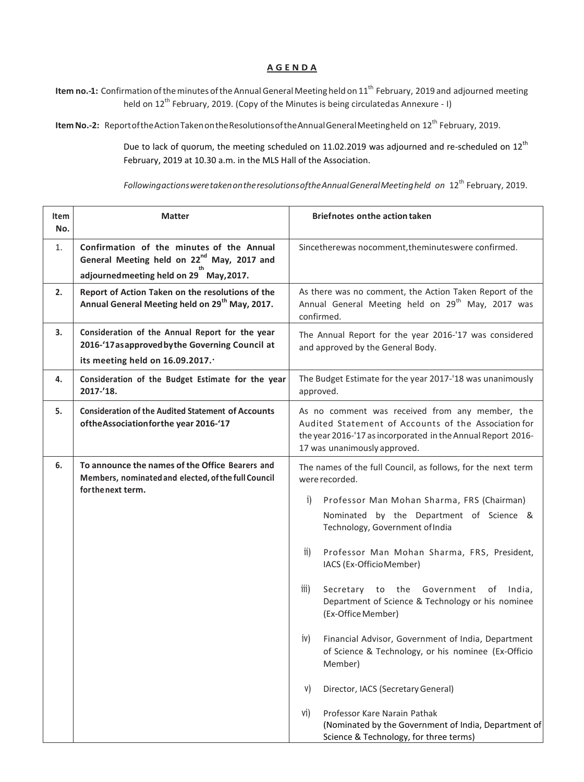## **A G E N D A**

**Item no.-1:** Confirmation of the minutes of the Annual General Meeting held on 11<sup>th</sup> February, 2019 and adjourned meeting held on 12<sup>th</sup> February, 2019. (Copy of the Minutes is being circulatedas Annexure - I)

**Item No.-2:** Report of the Action Taken on the Resolutions of the Annual General Meeting held on 12<sup>th</sup> February, 2019.

Due to lack of quorum, the meeting scheduled on 11.02.2019 was adjourned and re-scheduled on 12<sup>th</sup> February, 2019 at 10.30 a.m. in the MLS Hall of the Association.

*FollowingactionsweretakenontheresolutionsoftheAnnualGeneralMeetingheld on* 12th February, 2019.

| Item<br>No. | <b>Matter</b>                                                                                                                                  | <b>Briefnotes on the action taken</b>                                                                                                                                                                                                                                                                                                                                                                                                                                                                                                                                                                                                                                                                                                                          |  |  |  |  |  |  |  |
|-------------|------------------------------------------------------------------------------------------------------------------------------------------------|----------------------------------------------------------------------------------------------------------------------------------------------------------------------------------------------------------------------------------------------------------------------------------------------------------------------------------------------------------------------------------------------------------------------------------------------------------------------------------------------------------------------------------------------------------------------------------------------------------------------------------------------------------------------------------------------------------------------------------------------------------------|--|--|--|--|--|--|--|
| 1.          | Confirmation of the minutes of the Annual<br>General Meeting held on 22 <sup>nd</sup> May, 2017 and<br>adjourned meeting held on 29 May, 2017. | Sincetherewas nocomment, theminuteswere confirmed.                                                                                                                                                                                                                                                                                                                                                                                                                                                                                                                                                                                                                                                                                                             |  |  |  |  |  |  |  |
| 2.          | Report of Action Taken on the resolutions of the<br>Annual General Meeting held on 29 <sup>th</sup> May, 2017.                                 | As there was no comment, the Action Taken Report of the<br>Annual General Meeting held on 29 <sup>th</sup> May, 2017 was<br>confirmed.                                                                                                                                                                                                                                                                                                                                                                                                                                                                                                                                                                                                                         |  |  |  |  |  |  |  |
| 3.          | Consideration of the Annual Report for the year<br>2016-'17 as approved by the Governing Council at<br>its meeting held on 16.09.2017.         | The Annual Report for the year 2016-'17 was considered<br>and approved by the General Body.                                                                                                                                                                                                                                                                                                                                                                                                                                                                                                                                                                                                                                                                    |  |  |  |  |  |  |  |
| 4.          | Consideration of the Budget Estimate for the year<br>2017-'18.                                                                                 | The Budget Estimate for the year 2017-'18 was unanimously<br>approved.                                                                                                                                                                                                                                                                                                                                                                                                                                                                                                                                                                                                                                                                                         |  |  |  |  |  |  |  |
| 5.          | <b>Consideration of the Audited Statement of Accounts</b><br>ofthe Association for the year 2016-'17                                           | As no comment was received from any member, the<br>Audited Statement of Accounts of the Association for<br>the year 2016-'17 as incorporated in the Annual Report 2016-<br>17 was unanimously approved.                                                                                                                                                                                                                                                                                                                                                                                                                                                                                                                                                        |  |  |  |  |  |  |  |
| 6.          | To announce the names of the Office Bearers and<br>Members, nominated and elected, of the full Council<br>for the next term.                   | The names of the full Council, as follows, for the next term<br>were recorded.<br>i)<br>Professor Man Mohan Sharma, FRS (Chairman)<br>Nominated by the Department of Science &<br>Technology, Government of India<br>Professor Man Mohan Sharma, FRS, President,<br>$\overline{11}$<br>IACS (Ex-OfficioMember)<br>iii)<br>Secretary to the Government of India,<br>Department of Science & Technology or his nominee<br>(Ex-Office Member)<br>Financial Advisor, Government of India, Department<br>iv)<br>of Science & Technology, or his nominee (Ex-Officio<br>Member)<br>Director, IACS (Secretary General)<br>V)<br>Professor Kare Narain Pathak<br>Vİ)<br>(Nominated by the Government of India, Department of<br>Science & Technology, for three terms) |  |  |  |  |  |  |  |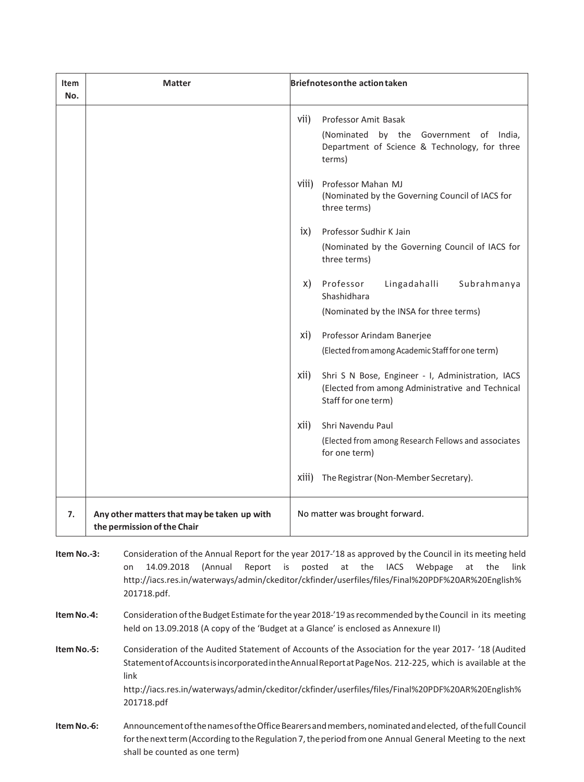| Item<br>No. | <b>Matter</b>                                                              | <b>Briefnotesonthe action taken</b>                                                                                                  |                                                                                                                           |  |  |  |  |  |  |  |
|-------------|----------------------------------------------------------------------------|--------------------------------------------------------------------------------------------------------------------------------------|---------------------------------------------------------------------------------------------------------------------------|--|--|--|--|--|--|--|
|             |                                                                            | vii)                                                                                                                                 | Professor Amit Basak<br>(Nominated by the Government of India,<br>Department of Science & Technology, for three<br>terms) |  |  |  |  |  |  |  |
|             |                                                                            | viii)                                                                                                                                | Professor Mahan MJ<br>(Nominated by the Governing Council of IACS for<br>three terms)                                     |  |  |  |  |  |  |  |
|             |                                                                            | Professor Sudhir K Jain<br>$i\mathsf{x}$                                                                                             |                                                                                                                           |  |  |  |  |  |  |  |
|             |                                                                            | (Nominated by the Governing Council of IACS for<br>three terms)                                                                      |                                                                                                                           |  |  |  |  |  |  |  |
|             |                                                                            | X)                                                                                                                                   | Professor<br>Lingadahalli<br>Subrahmanya<br>Shashidhara                                                                   |  |  |  |  |  |  |  |
|             |                                                                            |                                                                                                                                      | (Nominated by the INSA for three terms)                                                                                   |  |  |  |  |  |  |  |
|             |                                                                            | xi)<br>Professor Arindam Banerjee                                                                                                    |                                                                                                                           |  |  |  |  |  |  |  |
|             |                                                                            | (Elected from among Academic Staff for one term)                                                                                     |                                                                                                                           |  |  |  |  |  |  |  |
|             |                                                                            | xii)<br>Shri S N Bose, Engineer - I, Administration, IACS<br>(Elected from among Administrative and Technical<br>Staff for one term) |                                                                                                                           |  |  |  |  |  |  |  |
|             |                                                                            | xii)                                                                                                                                 | Shri Navendu Paul                                                                                                         |  |  |  |  |  |  |  |
|             |                                                                            |                                                                                                                                      | (Elected from among Research Fellows and associates<br>for one term)                                                      |  |  |  |  |  |  |  |
|             |                                                                            | X111)                                                                                                                                | The Registrar (Non-Member Secretary).                                                                                     |  |  |  |  |  |  |  |
| 7.          | Any other matters that may be taken up with<br>the permission of the Chair | No matter was brought forward.                                                                                                       |                                                                                                                           |  |  |  |  |  |  |  |

**Item No.-3:** Consideration of the Annual Report for the year 2017-'18 as approved by the Council in its meeting held on 14.09.2018 (Annual Report is posted at the IACS Webpage at the link http://iacs.res.in/waterways/admin/ckeditor/ckfinder/userfiles/files/Final%20PDF%20AR%20English% 201718.pdf.

**Item No.-4:** Consideration of the Budget Estimate for the year 2018-'19 as recommended by the Council in its meeting held on 13.09.2018 (A copy of the 'Budget at a Glance' is enclosed as Annexure II)

**Item No.-5:** Consideration of the Audited Statement of Accounts of the Association for the year 2017- '18 (Audited StatementofAccountsisincorporatedintheAnnualReportatPageNos. 212-225, which is available at the link http://iacs.res.in/waterways/admin/ckeditor/ckfinder/userfiles/files/Final%20PDF%20AR%20English% 201718.pdf

Item No.-6: Announcement of the names of the Office Bearers and members, nominated and elected, of the full Council for the next term (According to the Regulation 7, the period from one Annual General Meeting to the next shall be counted as one term)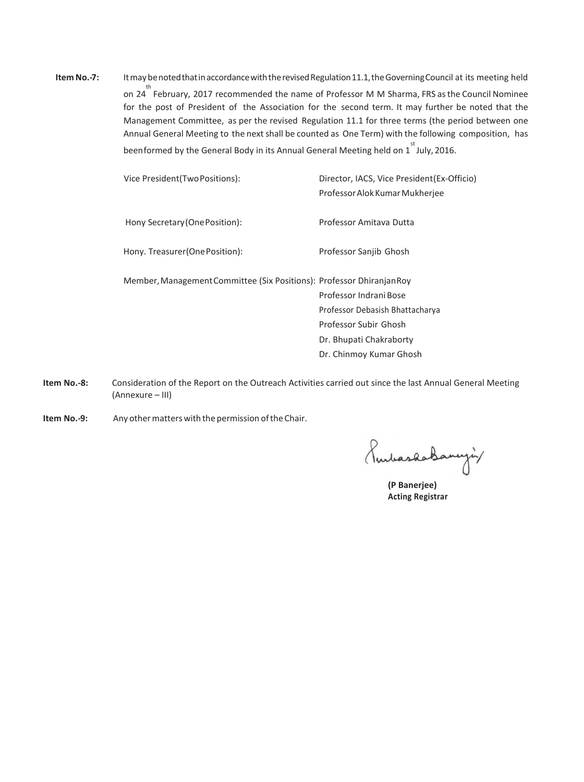Item No.-7: Itmay benoted that in accordance with the revised Regulation 11.1, the Governing Council at its meeting held on 24 th February, 2017 recommended the name of Professor M M Sharma, FRS asthe Council Nominee for the post of President of the Association for the second term. It may further be noted that the Management Committee, as per the revised Regulation 11.1 for three terms (the period between one Annual General Meeting to the next shall be counted as One Term) with the following composition, has beenformed by the General Body in its Annual General Meeting held on 1<sup>st</sup> July, 2016.

| Vice President (Two Positions):                                       | Director, IACS, Vice President (Ex-Officio)<br>Professor Alok Kumar Mukherjee |
|-----------------------------------------------------------------------|-------------------------------------------------------------------------------|
| Hony Secretary (One Position):                                        | Professor Amitava Dutta                                                       |
| Hony. Treasurer (One Position):                                       | Professor Sanjib Ghosh                                                        |
| Member, Management Committee (Six Positions): Professor Dhiranjan Roy |                                                                               |
|                                                                       | Professor Indrani Bose                                                        |
|                                                                       | Professor Debasish Bhattacharya                                               |
|                                                                       | Professor Subir Ghosh                                                         |
|                                                                       | Dr. Bhupati Chakraborty                                                       |
|                                                                       | Dr. Chinmoy Kumar Ghosh                                                       |

**Item No.-8:** Consideration of the Report on the Outreach Activities carried out since the last Annual General Meeting (Annexure – III)

**Item No.-9:** Any other matters with the permission of the Chair.

PurbaskaBancyin

**(P Banerjee) Acting Registrar**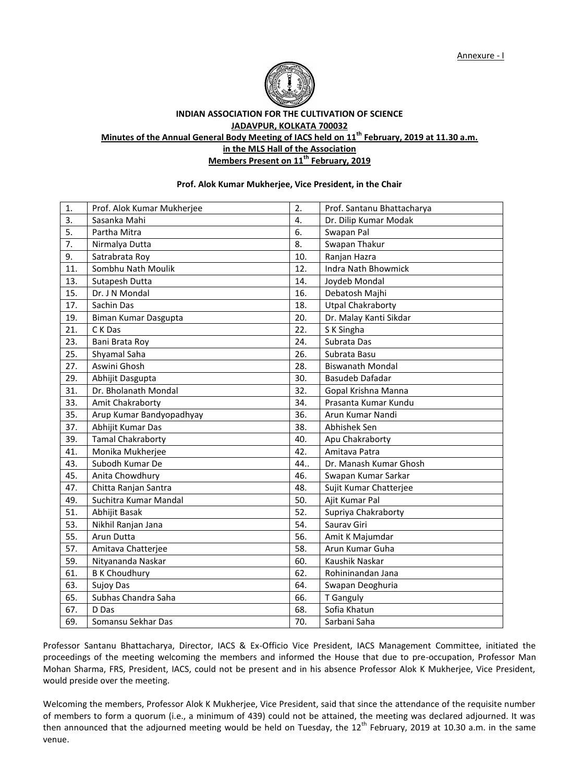

**INDIAN ASSOCIATION FOR THE CULTIVATION OF SCIENCE JADAVPUR, KOLKATA 700032 Minutes of the Annual General Body Meeting of IACS held on 11th February, 2019 at 11.30 a.m. in the MLS Hall of the Association Members Present on 11th February, 2019**

### **Prof. Alok Kumar Mukherjee, Vice President, in the Chair**

| 1.  | Prof. Alok Kumar Mukherjee | 2.  | Prof. Santanu Bhattacharya |  |  |  |  |  |  |
|-----|----------------------------|-----|----------------------------|--|--|--|--|--|--|
| 3.  | Sasanka Mahi               | 4.  | Dr. Dilip Kumar Modak      |  |  |  |  |  |  |
| 5.  | Partha Mitra               | 6.  | Swapan Pal                 |  |  |  |  |  |  |
| 7.  | Nirmalya Dutta             | 8.  | Swapan Thakur              |  |  |  |  |  |  |
| 9.  | Satrabrata Roy             | 10. | Ranjan Hazra               |  |  |  |  |  |  |
| 11. | Sombhu Nath Moulik         | 12. | Indra Nath Bhowmick        |  |  |  |  |  |  |
| 13. | Sutapesh Dutta             | 14. | Joydeb Mondal              |  |  |  |  |  |  |
| 15. | Dr. J N Mondal             | 16. | Debatosh Majhi             |  |  |  |  |  |  |
| 17. | Sachin Das                 | 18. | <b>Utpal Chakraborty</b>   |  |  |  |  |  |  |
| 19. | Biman Kumar Dasgupta       | 20. | Dr. Malay Kanti Sikdar     |  |  |  |  |  |  |
| 21. | C K Das                    | 22. | S K Singha                 |  |  |  |  |  |  |
| 23. | Bani Brata Roy             | 24. | Subrata Das                |  |  |  |  |  |  |
| 25. | Shyamal Saha               | 26. | Subrata Basu               |  |  |  |  |  |  |
| 27. | Aswini Ghosh               | 28. | <b>Biswanath Mondal</b>    |  |  |  |  |  |  |
| 29. | Abhijit Dasgupta           | 30. | Basudeb Dafadar            |  |  |  |  |  |  |
| 31. | Dr. Bholanath Mondal       | 32. | Gopal Krishna Manna        |  |  |  |  |  |  |
| 33. | Amit Chakraborty           | 34. | Prasanta Kumar Kundu       |  |  |  |  |  |  |
| 35. | Arup Kumar Bandyopadhyay   | 36. | Arun Kumar Nandi           |  |  |  |  |  |  |
| 37. | Abhijit Kumar Das          | 38. | Abhishek Sen               |  |  |  |  |  |  |
| 39. | <b>Tamal Chakraborty</b>   | 40. | Apu Chakraborty            |  |  |  |  |  |  |
| 41. | Monika Mukherjee           | 42. | Amitava Patra              |  |  |  |  |  |  |
| 43. | Subodh Kumar De            | 44. | Dr. Manash Kumar Ghosh     |  |  |  |  |  |  |
| 45. | Anita Chowdhury            | 46. | Swapan Kumar Sarkar        |  |  |  |  |  |  |
| 47. | Chitta Ranjan Santra       | 48. | Sujit Kumar Chatterjee     |  |  |  |  |  |  |
| 49. | Suchitra Kumar Mandal      | 50. | Ajit Kumar Pal             |  |  |  |  |  |  |
| 51. | Abhijit Basak              | 52. | Supriya Chakraborty        |  |  |  |  |  |  |
| 53. | Nikhil Ranjan Jana         | 54. | Saurav Giri                |  |  |  |  |  |  |
| 55. | Arun Dutta                 | 56. | Amit K Majumdar            |  |  |  |  |  |  |
| 57. | Amitava Chatterjee         | 58. | Arun Kumar Guha            |  |  |  |  |  |  |
| 59. | Nityananda Naskar          | 60. | Kaushik Naskar             |  |  |  |  |  |  |
| 61. | <b>B K Choudhury</b>       | 62. | Rohininandan Jana          |  |  |  |  |  |  |
| 63. | Sujoy Das                  | 64. | Swapan Deoghuria           |  |  |  |  |  |  |
| 65. | Subhas Chandra Saha        | 66. | T Ganguly                  |  |  |  |  |  |  |
| 67. | D Das                      | 68. | Sofia Khatun               |  |  |  |  |  |  |
| 69. | Somansu Sekhar Das         | 70. | Sarbani Saha               |  |  |  |  |  |  |

Professor Santanu Bhattacharya, Director, IACS & Ex-Officio Vice President, IACS Management Committee, initiated the proceedings of the meeting welcoming the members and informed the House that due to pre-occupation, Professor Man Mohan Sharma, FRS, President, IACS, could not be present and in his absence Professor Alok K Mukherjee, Vice President, would preside over the meeting.

Welcoming the members, Professor Alok K Mukherjee, Vice President, said that since the attendance of the requisite number of members to form a quorum (i.e., a minimum of 439) could not be attained, the meeting was declared adjourned. It was then announced that the adjourned meeting would be held on Tuesday, the  $12^{th}$  February, 2019 at 10.30 a.m. in the same venue.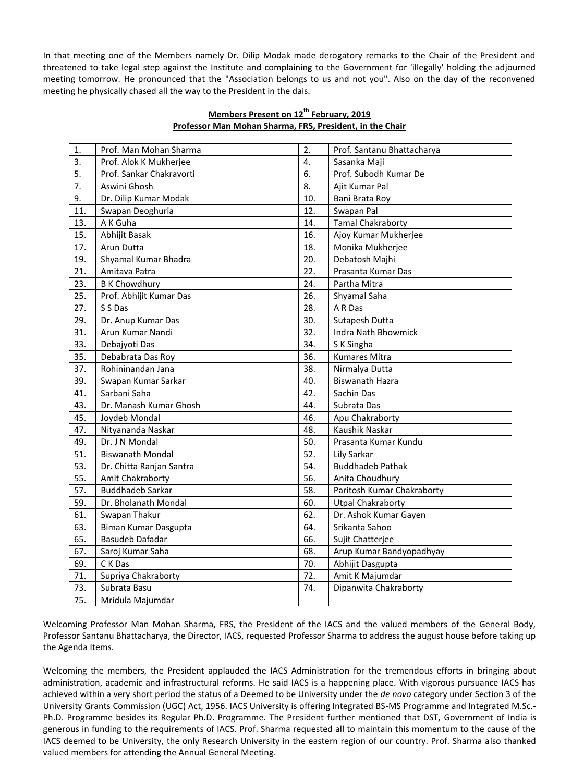In that meeting one of the Members namely Dr. Dilip Modak made derogatory remarks to the Chair of the President and threatened to take legal step against the Institute and complaining to the Government for 'illegally' holding the adjourned meeting tomorrow. He pronounced that the "Association belongs to us and not you". Also on the day of the reconvened meeting he physically chased all the way to the President in the dais.

| 1.  | Prof. Man Mohan Sharma   | 2.  | Prof. Santanu Bhattacharya |
|-----|--------------------------|-----|----------------------------|
| 3.  | Prof. Alok K Mukherjee   | 4.  | Sasanka Maji               |
| 5.  | Prof. Sankar Chakravorti | 6.  | Prof. Subodh Kumar De      |
| 7.  | Aswini Ghosh             | 8.  | Ajit Kumar Pal             |
| 9.  | Dr. Dilip Kumar Modak    | 10. | Bani Brata Roy             |
| 11. | Swapan Deoghuria         | 12. | Swapan Pal                 |
| 13. | A K Guha                 | 14. | <b>Tamal Chakraborty</b>   |
| 15. | Abhijit Basak            | 16. | Ajoy Kumar Mukherjee       |
| 17. | Arun Dutta               | 18. | Monika Mukherjee           |
| 19. | Shyamal Kumar Bhadra     | 20. | Debatosh Majhi             |
| 21. | Amitava Patra            | 22. | Prasanta Kumar Das         |
| 23. | <b>B K Chowdhury</b>     | 24. | Partha Mitra               |
| 25. | Prof. Abhijit Kumar Das  | 26. | Shyamal Saha               |
| 27. | S S Das                  | 28. | A R Das                    |
| 29. | Dr. Anup Kumar Das       | 30. | Sutapesh Dutta             |
| 31. | Arun Kumar Nandi         | 32. | <b>Indra Nath Bhowmick</b> |
| 33. | Debajyoti Das            | 34. | S K Singha                 |
| 35. | Debabrata Das Roy        | 36. | Kumares Mitra              |
| 37. | Rohininandan Jana        | 38. | Nirmalya Dutta             |
| 39. | Swapan Kumar Sarkar      | 40. | <b>Biswanath Hazra</b>     |
| 41. | Sarbani Saha             | 42. | Sachin Das                 |
| 43. | Dr. Manash Kumar Ghosh   | 44. | Subrata Das                |
| 45. | Joydeb Mondal            | 46. | Apu Chakraborty            |
| 47. | Nityananda Naskar        | 48. | Kaushik Naskar             |
| 49. | Dr. J N Mondal           | 50. | Prasanta Kumar Kundu       |
| 51. | <b>Biswanath Mondal</b>  | 52. | Lily Sarkar                |
| 53. | Dr. Chitta Ranjan Santra | 54. | <b>Buddhadeb Pathak</b>    |
| 55. | Amit Chakraborty         | 56. | Anita Choudhury            |
| 57. | <b>Buddhadeb Sarkar</b>  | 58. | Paritosh Kumar Chakraborty |
| 59. | Dr. Bholanath Mondal     | 60. | <b>Utpal Chakraborty</b>   |
| 61. | Swapan Thakur            | 62. | Dr. Ashok Kumar Gayen      |
| 63. | Biman Kumar Dasgupta     | 64. | Srikanta Sahoo             |
| 65. | Basudeb Dafadar          | 66. | Sujit Chatterjee           |
| 67. | Saroj Kumar Saha         | 68. | Arup Kumar Bandyopadhyay   |
| 69. | C K Das                  | 70. | Abhijit Dasgupta           |
| 71. | Supriya Chakraborty      | 72. | Amit K Majumdar            |
| 73. | Subrata Basu             | 74. | Dipanwita Chakraborty      |
| 75. | Mridula Majumdar         |     |                            |

# **Members Present on 12th February, 2019 Professor Man Mohan Sharma, FRS, President, in the Chair**

Welcoming Professor Man Mohan Sharma, FRS, the President of the IACS and the valued members of the General Body, Professor Santanu Bhattacharya, the Director, IACS, requested Professor Sharma to address the august house before taking up the Agenda Items.

Welcoming the members, the President applauded the IACS Administration for the tremendous efforts in bringing about administration, academic and infrastructural reforms. He said IACS is a happening place. With vigorous pursuance IACS has achieved within a very short period the status of a Deemed to be University under the *de novo* category under Section 3 of the University Grants Commission (UGC) Act, 1956. IACS University is offering Integrated BS-MS Programme and Integrated M.Sc.- Ph.D. Programme besides its Regular Ph.D. Programme. The President further mentioned that DST, Government of India is generous in funding to the requirements of IACS. Prof. Sharma requested all to maintain this momentum to the cause of the IACS deemed to be University, the only Research University in the eastern region of our country. Prof. Sharma also thanked valued members for attending the Annual General Meeting.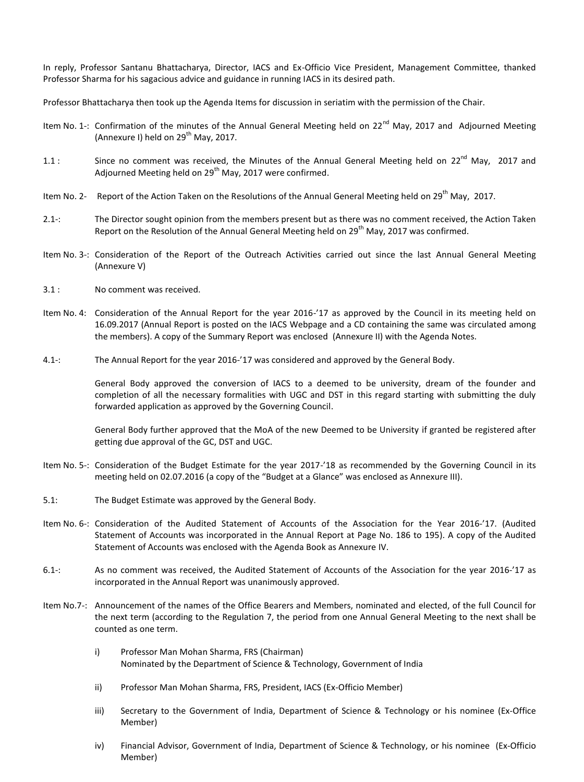In reply, Professor Santanu Bhattacharya, Director, IACS and Ex-Officio Vice President, Management Committee, thanked Professor Sharma for his sagacious advice and guidance in running IACS in its desired path.

Professor Bhattacharya then took up the Agenda Items for discussion in seriatim with the permission of the Chair.

- Item No. 1-: Confirmation of the minutes of the Annual General Meeting held on 22<sup>nd</sup> May, 2017 and Adjourned Meeting (Annexure I) held on  $29<sup>th</sup>$  May, 2017.
- 1.1 : Since no comment was received, the Minutes of the Annual General Meeting held on  $22^{nd}$  May, 2017 and Adjourned Meeting held on  $29<sup>th</sup>$  May, 2017 were confirmed.
- Item No. 2- Report of the Action Taken on the Resolutions of the Annual General Meeting held on 29<sup>th</sup> May, 2017.
- 2.1-: The Director sought opinion from the members present but as there was no comment received, the Action Taken Report on the Resolution of the Annual General Meeting held on 29<sup>th</sup> May, 2017 was confirmed.
- Item No. 3-: Consideration of the Report of the Outreach Activities carried out since the last Annual General Meeting (Annexure V)
- 3.1 : No comment was received.
- Item No. 4: Consideration of the Annual Report for the year 2016-'17 as approved by the Council in its meeting held on 16.09.2017 (Annual Report is posted on the IACS Webpage and a CD containing the same was circulated among the members). A copy of the Summary Report was enclosed (Annexure II) with the Agenda Notes.
- 4.1-: The Annual Report for the year 2016-'17 was considered and approved by the General Body.

General Body approved the conversion of IACS to a deemed to be university, dream of the founder and completion of all the necessary formalities with UGC and DST in this regard starting with submitting the duly forwarded application as approved by the Governing Council.

General Body further approved that the MoA of the new Deemed to be University if granted be registered after getting due approval of the GC, DST and UGC.

- Item No. 5-: Consideration of the Budget Estimate for the year 2017-'18 as recommended by the Governing Council in its meeting held on 02.07.2016 (a copy of the "Budget at a Glance" was enclosed as Annexure III).
- 5.1: The Budget Estimate was approved by the General Body.
- Item No. 6-: Consideration of the Audited Statement of Accounts of the Association for the Year 2016-'17. (Audited Statement of Accounts was incorporated in the Annual Report at Page No. 186 to 195). A copy of the Audited Statement of Accounts was enclosed with the Agenda Book as Annexure IV.
- 6.1-: As no comment was received, the Audited Statement of Accounts of the Association for the year 2016-'17 as incorporated in the Annual Report was unanimously approved.
- Item No.7-: Announcement of the names of the Office Bearers and Members, nominated and elected, of the full Council for the next term (according to the Regulation 7, the period from one Annual General Meeting to the next shall be counted as one term.
	- i) Professor Man Mohan Sharma, FRS (Chairman) Nominated by the Department of Science & Technology, Government of India
	- ii) Professor Man Mohan Sharma, FRS, President, IACS (Ex-Officio Member)
	- iii) Secretary to the Government of India, Department of Science & Technology or his nominee (Ex-Office Member)
	- iv) Financial Advisor, Government of India, Department of Science & Technology, or his nominee (Ex-Officio Member)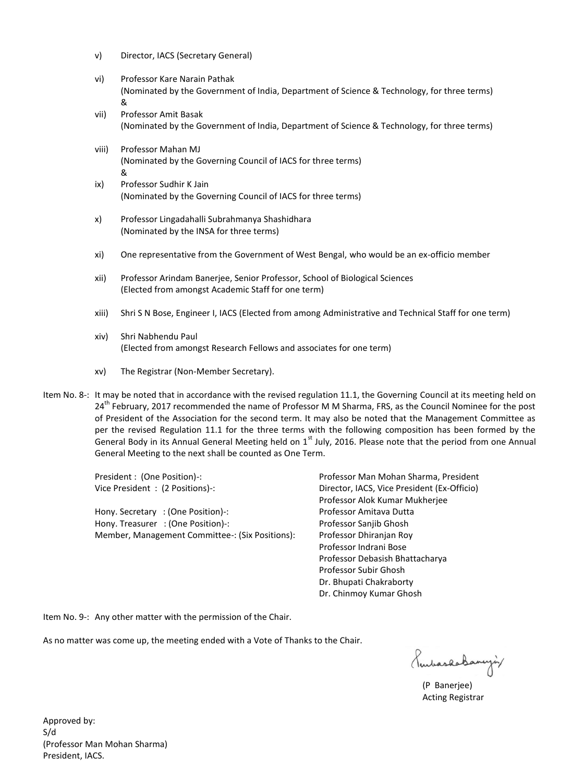- v) Director, IACS (Secretary General)
- vi) Professor Kare Narain Pathak (Nominated by the Government of India, Department of Science & Technology, for three terms) &
- vii) Professor Amit Basak (Nominated by the Government of India, Department of Science & Technology, for three terms)
- viii) Professor Mahan MJ (Nominated by the Governing Council of IACS for three terms) & ix) Professor Sudhir K Jain
	- (Nominated by the Governing Council of IACS for three terms)
- x) Professor Lingadahalli Subrahmanya Shashidhara (Nominated by the INSA for three terms)
- xi) One representative from the Government of West Bengal, who would be an ex-officio member
- xii) Professor Arindam Banerjee, Senior Professor, School of Biological Sciences (Elected from amongst Academic Staff for one term)
- xiii) Shri S N Bose, Engineer I, IACS (Elected from among Administrative and Technical Staff for one term)
- xiv) Shri Nabhendu Paul (Elected from amongst Research Fellows and associates for one term)
- xv) The Registrar (Non-Member Secretary).
- Item No. 8-: It may be noted that in accordance with the revised regulation 11.1, the Governing Council at its meeting held on 24<sup>th</sup> February, 2017 recommended the name of Professor M M Sharma, FRS, as the Council Nominee for the post of President of the Association for the second term. It may also be noted that the Management Committee as per the revised Regulation 11.1 for the three terms with the following composition has been formed by the General Body in its Annual General Meeting held on  $1<sup>st</sup>$  July, 2016. Please note that the period from one Annual General Meeting to the next shall be counted as One Term.

Hony. Secretary : (One Position) -: Professor Amitava Dutta Hony. Treasurer : (One Position)-: Professor Sanjib Ghosh Member, Management Committee-: (Six Positions): Professor Dhiranjan Roy

President : (One Position)-: Professor Man Mohan Sharma, President Vice President : (2 Positions)-: Director, IACS, Vice President (Ex-Officio) Professor Alok Kumar Mukherjee Professor Indrani Bose Professor Debasish Bhattacharya Professor Subir Ghosh Dr. Bhupati Chakraborty Dr. Chinmoy Kumar Ghosh

Item No. 9-: Any other matter with the permission of the Chair.

As no matter was come up, the meeting ended with a Vote of Thanks to the Chair.

Rubashabanyiy

(P Banerjee) Acting Registrar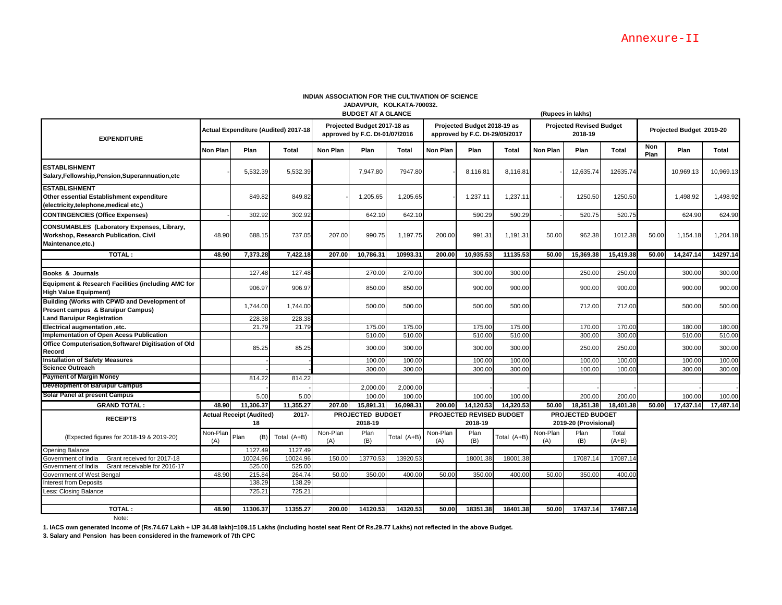|                                                                                                                  |                                                |                  |                             |                                                               | <b>BUDGET AT A GLANCE</b> | JADAVPUR, NULNAIA-IUUUJZ.           |                                                               |             |                                                  |                                            | (Rupees in lakhs) |                  |                          |           |           |
|------------------------------------------------------------------------------------------------------------------|------------------------------------------------|------------------|-----------------------------|---------------------------------------------------------------|---------------------------|-------------------------------------|---------------------------------------------------------------|-------------|--------------------------------------------------|--------------------------------------------|-------------------|------------------|--------------------------|-----------|-----------|
| <b>EXPENDITURE</b>                                                                                               | Actual Expenditure (Audited) 2017-18           |                  |                             | Projected Budget 2017-18 as<br>approved by F.C. Dt-01/07/2016 |                           |                                     | Projected Budget 2018-19 as<br>approved by F.C. Dt-29/05/2017 |             |                                                  | <b>Projected Revised Budget</b><br>2018-19 |                   |                  | Projected Budget 2019-20 |           |           |
|                                                                                                                  | <b>Non Plan</b>                                | Plan             | Total                       | <b>Non Plan</b>                                               | Plan                      | <b>Total</b>                        | <b>Non Plan</b>                                               | Plan        | Total                                            | <b>Non Plan</b>                            | Plan              | Total            | Non<br>Plan              | Plan      | Total     |
| <b>ESTABLISHMENT</b><br>Salary, Fellowship, Pension, Superannuation, etc                                         |                                                | 5,532.39         | 5,532.39                    |                                                               | 7,947.80                  | 7947.80                             |                                                               | 8,116.81    | 8,116.81                                         |                                            | 12,635.74         | 12635.74         |                          | 10,969.13 | 10,969.13 |
| <b>ESTABLISHMENT</b><br>Other essential Establishment expenditure<br>(electricity,telephone,medical etc,)        |                                                | 849.82           | 849.82                      |                                                               | 1,205.65                  | 1,205.65                            |                                                               | 1,237.11    | 1,237.11                                         |                                            | 1250.50           | 1250.50          |                          | 1,498.92  | 1,498.92  |
| <b>CONTINGENCIES (Office Expenses)</b>                                                                           |                                                | 302.92           | 302.92                      |                                                               | 642.10                    | 642.10                              |                                                               | 590.29      | 590.29                                           |                                            | 520.75            | 520.75           |                          | 624.90    | 624.90    |
| <b>CONSUMABLES (Laboratory Expenses, Library,</b><br>Workshop, Research Publication, Civil<br>Maintenance, etc.) | 48.90                                          | 688.15           | 737.05                      | 207.00                                                        | 990.75                    | 1,197.75                            | 200.00                                                        | 991.31      | 1,191.31                                         | 50.00                                      | 962.38            | 1012.38          | 50.00                    | 1,154.18  | 1,204.18  |
| TOTAL:                                                                                                           | 48.90                                          | 7,373.28         | 7.422.18                    | 207.00                                                        | 10,786.31                 | 10993.31                            | 200.00                                                        | 10,935.53   | 11135.53                                         | 50.00                                      | 15,369.38         | 15,419.38        | 50.00                    | 14,247.14 | 14297.14  |
| Books & Journals                                                                                                 |                                                | 127.48           | 127.48                      |                                                               | 270.00                    | 270.00                              |                                                               | 300.00      | 300.00                                           |                                            | 250.00            | 250.00           |                          | 300.00    | 300.00    |
| Equipment & Research Facilities (including AMC for<br><b>High Value Equipment)</b>                               |                                                | 906.97           | 906.97                      |                                                               | 850.00                    | 850.00                              |                                                               | 900.00      | 900.00                                           |                                            | 900.00            | 900.00           |                          | 900.00    | 900.00    |
| <b>Building (Works with CPWD and Development of</b><br>Present campus & Baruipur Campus)                         |                                                | 1,744.00         | 1.744.00                    |                                                               | 500.00                    | 500.00                              |                                                               | 500.00      | 500.00                                           |                                            | 712.00            | 712.00           |                          | 500.00    | 500.00    |
| <b>Land Baruipur Registration</b>                                                                                |                                                | 228.38           | 228.38                      |                                                               |                           |                                     |                                                               |             |                                                  |                                            |                   |                  |                          |           |           |
| Electrical augmentation , etc.                                                                                   |                                                | 21.79            | 21.79                       |                                                               | 175.00                    | 175.00                              |                                                               | 175.00      | 175.00                                           |                                            | 170.00            | 170.0            |                          | 180.00    | 180.00    |
| Implementation of Open Acess Publication                                                                         |                                                |                  |                             |                                                               | 510.00                    | 510.00                              |                                                               | 510.00      | 510.00                                           |                                            | 300.00            | 300.0            |                          | 510.00    | 510.00    |
| Office Computerisation, Software/ Digitisation of Old<br>Record                                                  |                                                | 85.25            | 85.25                       |                                                               | 300.00                    | 300.00                              |                                                               | 300.00      | 300.00                                           |                                            | 250.00            | 250.00           |                          | 300.00    | 300.00    |
| <b>Installation of Safety Measures</b>                                                                           |                                                |                  |                             |                                                               | 100.00                    | 100.00                              |                                                               | 100.00      | 100.00                                           |                                            | 100.00            | 100.00           |                          | 100.00    | 100.00    |
| <b>Science Outreach</b>                                                                                          |                                                |                  |                             |                                                               | 300.00                    | 300.00                              |                                                               | 300.00      | 300.00                                           |                                            | 100.00            | 100.00           |                          | 300.00    | 300.00    |
| <b>Payment of Margin Money</b>                                                                                   |                                                | 814.22           | 814.22                      |                                                               |                           |                                     |                                                               |             |                                                  |                                            |                   |                  |                          |           |           |
| <b>Development of Baruipur Campus</b>                                                                            |                                                |                  |                             |                                                               | 2,000.00                  | 2,000.00                            |                                                               |             |                                                  |                                            |                   |                  |                          |           |           |
| <b>Solar Panel at present Campus</b>                                                                             |                                                | 5.00             | 5.00                        |                                                               | 100.00                    | 100.00                              |                                                               | 100.00      | 100.00                                           |                                            | 200.00            | 200.00           |                          | 100.00    | 100.00    |
| <b>GRAND TOTAL:</b>                                                                                              | 48.90                                          | 11,306.37        | 11,355.27                   | 207.00                                                        | 15,891.31                 | 16,098.31                           | 200.00                                                        | 14.120.53   | 14,320.53                                        | 50.00                                      | 18,351.38         | 18,401.38        | 50.00                    | 17,437.14 | 17,487.14 |
| <b>RECEIPTS</b>                                                                                                  | 2017-<br><b>Actual Receipt (Audited)</b><br>18 |                  | PROJECTED BUDGET<br>2018-19 |                                                               |                           | PROJECTED REVISED BUDGET<br>2018-19 |                                                               |             | <b>PROJECTED BUDGET</b><br>2019-20 (Provisional) |                                            |                   |                  |                          |           |           |
| (Expected figures for 2018-19 & 2019-20)                                                                         | Non-Plan<br>(A)                                | Plan<br>(B)      | Total (A+B)                 | Non-Plan<br>(A)                                               | Plan<br>(B)               | Total (A+B)                         | Non-Plan<br>(A)                                               | Plan<br>(B) | Total (A+B)                                      | Non-Plan<br>(A)                            | Plan<br>(B)       | Total<br>$(A+B)$ |                          |           |           |
| <b>Opening Balance</b>                                                                                           |                                                | 1127.49          | 1127.49                     |                                                               |                           |                                     |                                                               |             |                                                  |                                            |                   |                  |                          |           |           |
| Government of India<br>Grant received for 2017-18                                                                |                                                | 10024.96         | 10024.96                    | 150.00                                                        | 13770.53                  | 13920.53                            |                                                               | 18001.38    | 18001.38                                         |                                            | 17087.14          | 17087.1          |                          |           |           |
| Government of India<br>Grant receivable for 2016-17                                                              |                                                | 525.00           | 525.00                      |                                                               |                           |                                     |                                                               |             |                                                  |                                            |                   |                  |                          |           |           |
| Government of West Bengal                                                                                        | 48.90                                          | 215.84<br>138.29 | 264.74<br>138.29            | 50.00                                                         | 350.00                    | 400.00                              | 50.00                                                         | 350.00      | 400.00                                           | 50.00                                      | 350.00            | 400.00           |                          |           |           |
| <b>Interest from Deposits</b>                                                                                    |                                                |                  |                             |                                                               |                           |                                     |                                                               |             |                                                  |                                            |                   |                  |                          |           |           |
| Less: Closing Balance                                                                                            |                                                | 725.21           | 725.21                      |                                                               |                           |                                     |                                                               |             |                                                  |                                            |                   |                  |                          |           |           |
| TOTAL:                                                                                                           | 48.90                                          | 11306.37         | 11355.27                    | 200.00                                                        | 14120.53                  | 14320.53                            | 50.00                                                         | 18351.38    | 18401.38                                         | 50.00                                      | 17437.14          | 17487.14         |                          |           |           |
|                                                                                                                  |                                                |                  |                             |                                                               |                           |                                     |                                                               |             |                                                  |                                            |                   |                  |                          |           |           |

#### **INDIAN ASSOCIATION FOR THE CULTIVATION OF SCIENCE JADAVPUR, KOLKATA-700032.**

Note:

**1. IACS own generated Income of (Rs.74.67 Lakh + IJP 34.48 lakh)=109.15 Lakhs (including hostel seat Rent Of Rs.29.77 Lakhs) not reflected in the above Budget.**

**3. Salary and Pension has been considered in the framework of 7th CPC**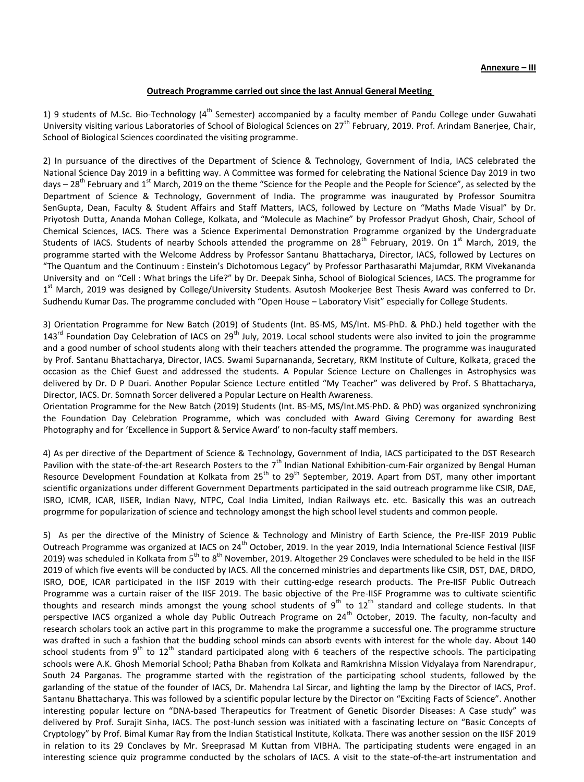## **Outreach Programme carried out since the last Annual General Meeting**

1) 9 students of M.Sc. Bio-Technology ( $4^{th}$  Semester) accompanied by a faculty member of Pandu College under Guwahati University visiting various Laboratories of School of Biological Sciences on 27<sup>th</sup> February, 2019. Prof. Arindam Banerjee, Chair, School of Biological Sciences coordinated the visiting programme.

2) In pursuance of the directives of the Department of Science & Technology, Government of India, IACS celebrated the National Science Day 2019 in a befitting way. A Committee was formed for celebrating the National Science Day 2019 in two days –  $28^{th}$  February and 1<sup>st</sup> March, 2019 on the theme "Science for the People and the People for Science", as selected by the Department of Science & Technology, Government of India. The programme was inaugurated by Professor Soumitra SenGupta, Dean, Faculty & Student Affairs and Staff Matters, IACS, followed by Lecture on "Maths Made Visual" by Dr. Priyotosh Dutta, Ananda Mohan College, Kolkata, and "Molecule as Machine" by Professor Pradyut Ghosh, Chair, School of Chemical Sciences, IACS. There was a Science Experimental Demonstration Programme organized by the Undergraduate Students of IACS. Students of nearby Schools attended the programme on  $28^{th}$  February, 2019. On  $1^{st}$  March, 2019, the programme started with the Welcome Address by Professor Santanu Bhattacharya, Director, IACS, followed by Lectures on "The Quantum and the Continuum : Einstein's Dichotomous Legacy" by Professor Parthasarathi Majumdar, RKM Vivekananda University and on "Cell : What brings the Life?" by Dr. Deepak Sinha, School of Biological Sciences, IACS. The programme for 1<sup>st</sup> March, 2019 was designed by College/University Students. Asutosh Mookerjee Best Thesis Award was conferred to Dr. Sudhendu Kumar Das. The programme concluded with "Open House – Laboratory Visit" especially for College Students.

3) Orientation Programme for New Batch (2019) of Students (Int. BS-MS, MS/Int. MS-PhD. & PhD.) held together with the  $143^{rd}$  Foundation Day Celebration of IACS on  $29^{th}$  July, 2019. Local school students were also invited to join the programme and a good number of school students along with their teachers attended the programme. The programme was inaugurated by Prof. Santanu Bhattacharya, Director, IACS. Swami Suparnananda, Secretary, RKM Institute of Culture, Kolkata, graced the occasion as the Chief Guest and addressed the students. A Popular Science Lecture on Challenges in Astrophysics was delivered by Dr. D P Duari. Another Popular Science Lecture entitled "My Teacher" was delivered by Prof. S Bhattacharya, Director, IACS. Dr. Somnath Sorcer delivered a Popular Lecture on Health Awareness.

Orientation Programme for the New Batch (2019) Students (Int. BS-MS, MS/Int.MS-PhD. & PhD) was organized synchronizing the Foundation Day Celebration Programme, which was concluded with Award Giving Ceremony for awarding Best Photography and for 'Excellence in Support & Service Award' to non-faculty staff members.

4) As per directive of the Department of Science & Technology, Government of India, IACS participated to the DST Research Pavilion with the state-of-the-art Research Posters to the 7<sup>th</sup> Indian National Exhibition-cum-Fair organized by Bengal Human Resource Development Foundation at Kolkata from 25<sup>th</sup> to 29<sup>th</sup> September, 2019. Apart from DST, many other important scientific organizations under different Government Departments participated in the said outreach programme like CSIR, DAE, ISRO, ICMR, ICAR, IISER, Indian Navy, NTPC, Coal India Limited, Indian Railways etc. etc. Basically this was an outreach progrmme for popularization of science and technology amongst the high school level students and common people.

5) As per the directive of the Ministry of Science & Technology and Ministry of Earth Science, the Pre-IISF 2019 Public Outreach Programme was organized at IACS on 24<sup>th</sup> October, 2019. In the year 2019, India International Science Festival (IISF 2019) was scheduled in Kolkata from  $5^{th}$  to  $8^{th}$  November, 2019. Altogether 29 Conclaves were scheduled to be held in the IISF 2019 of which five events will be conducted by IACS. All the concerned ministries and departments like CSIR, DST, DAE, DRDO, ISRO, DOE, ICAR participated in the IISF 2019 with their cutting-edge research products. The Pre-IISF Public Outreach Programme was a curtain raiser of the IISF 2019. The basic objective of the Pre-IISF Programme was to cultivate scientific thoughts and research minds amongst the young school students of  $9^{th}$  to  $12^{th}$  standard and college students. In that perspective IACS organized a whole day Public Outreach Programe on  $24<sup>th</sup>$  October, 2019. The faculty, non-faculty and research scholars took an active part in this programme to make the programme a successful one. The programme structure was drafted in such a fashion that the budding school minds can absorb events with interest for the whole day. About 140 school students from  $9^{th}$  to  $12^{th}$  standard participated along with 6 teachers of the respective schools. The participating schools were A.K. Ghosh Memorial School; Patha Bhaban from Kolkata and Ramkrishna Mission Vidyalaya from Narendrapur, South 24 Parganas. The programme started with the registration of the participating school students, followed by the garlanding of the statue of the founder of IACS, Dr. Mahendra Lal Sircar, and lighting the lamp by the Director of IACS, Prof. Santanu Bhattacharya. This was followed by a scientific popular lecture by the Director on "Exciting Facts of Science". Another interesting popular lecture on "DNA-based Therapeutics for Treatment of Genetic Disorder Diseases: A Case study" was delivered by Prof. Surajit Sinha, IACS. The post-lunch session was initiated with a fascinating lecture on "Basic Concepts of Cryptology" by Prof. Bimal Kumar Ray from the Indian Statistical Institute, Kolkata. There was another session on the IISF 2019 in relation to its 29 Conclaves by Mr. Sreeprasad M Kuttan from VIBHA. The participating students were engaged in an interesting science quiz programme conducted by the scholars of IACS. A visit to the state-of-the-art instrumentation and